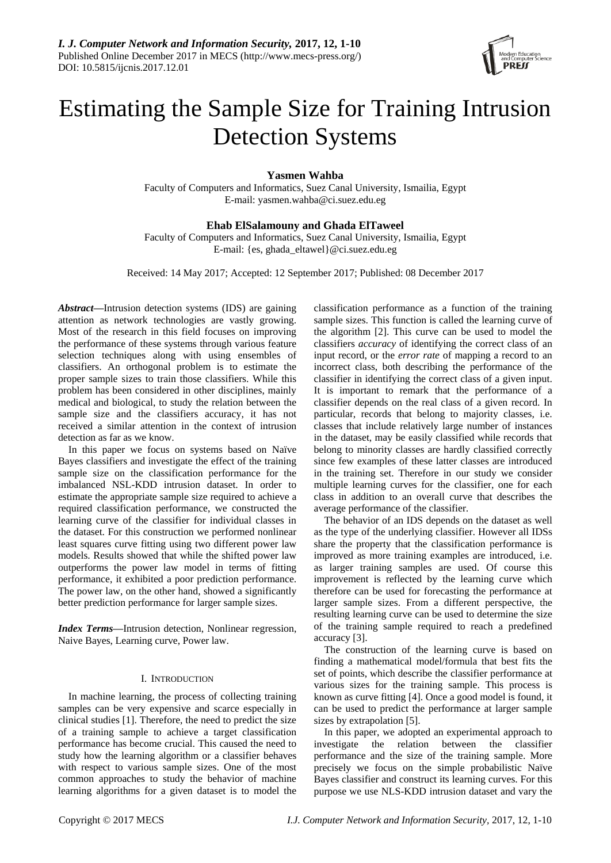

# Estimating the Sample Size for Training Intrusion Detection Systems

**Yasmen Wahba**

Faculty of Computers and Informatics, Suez Canal University, Ismailia, Egypt E-mail: yasmen.wahba@ci.suez.edu.eg

# **Ehab ElSalamouny and Ghada ElTaweel**

Faculty of Computers and Informatics, Suez Canal University, Ismailia, Egypt E-mail: {es, ghada\_eltawel}@ci.suez.edu.eg

Received: 14 May 2017; Accepted: 12 September 2017; Published: 08 December 2017

*Abstract***—**Intrusion detection systems (IDS) are gaining attention as network technologies are vastly growing. Most of the research in this field focuses on improving the performance of these systems through various feature selection techniques along with using ensembles of classifiers. An orthogonal problem is to estimate the proper sample sizes to train those classifiers. While this problem has been considered in other disciplines, mainly medical and biological, to study the relation between the sample size and the classifiers accuracy, it has not received a similar attention in the context of intrusion detection as far as we know.

In this paper we focus on systems based on Naïve Bayes classifiers and investigate the effect of the training sample size on the classification performance for the imbalanced NSL-KDD intrusion dataset. In order to estimate the appropriate sample size required to achieve a required classification performance, we constructed the learning curve of the classifier for individual classes in the dataset. For this construction we performed nonlinear least squares curve fitting using two different power law models. Results showed that while the shifted power law outperforms the power law model in terms of fitting performance, it exhibited a poor prediction performance. The power law, on the other hand, showed a significantly better prediction performance for larger sample sizes.

*Index Terms***—**Intrusion detection, Nonlinear regression, Naive Bayes, Learning curve, Power law.

# I. INTRODUCTION

In machine learning, the process of collecting training samples can be very expensive and scarce especially in clinical studies [1]. Therefore, the need to predict the size of a training sample to achieve a target classification performance has become crucial. This caused the need to study how the learning algorithm or a classifier behaves with respect to various sample sizes. One of the most common approaches to study the behavior of machine learning algorithms for a given dataset is to model the

classification performance as a function of the training sample sizes. This function is called the learning curve of the algorithm [2]. This curve can be used to model the classifiers *accuracy* of identifying the correct class of an input record, or the *error rate* of mapping a record to an incorrect class, both describing the performance of the classifier in identifying the correct class of a given input. It is important to remark that the performance of a classifier depends on the real class of a given record. In particular, records that belong to majority classes, i.e. classes that include relatively large number of instances in the dataset, may be easily classified while records that belong to minority classes are hardly classified correctly since few examples of these latter classes are introduced in the training set. Therefore in our study we consider multiple learning curves for the classifier, one for each class in addition to an overall curve that describes the average performance of the classifier.

The behavior of an IDS depends on the dataset as well as the type of the underlying classifier. However all IDSs share the property that the classification performance is improved as more training examples are introduced, i.e. as larger training samples are used. Of course this improvement is reflected by the learning curve which therefore can be used for forecasting the performance at larger sample sizes. From a different perspective, the resulting learning curve can be used to determine the size of the training sample required to reach a predefined accuracy [3].

The construction of the learning curve is based on finding a mathematical model/formula that best fits the set of points, which describe the classifier performance at various sizes for the training sample. This process is known as curve fitting [4]. Once a good model is found, it can be used to predict the performance at larger sample sizes by extrapolation [5].

In this paper, we adopted an experimental approach to investigate the relation between the classifier performance and the size of the training sample. More precisely we focus on the simple probabilistic Naïve Bayes classifier and construct its learning curves. For this purpose we use NLS-KDD intrusion dataset and vary the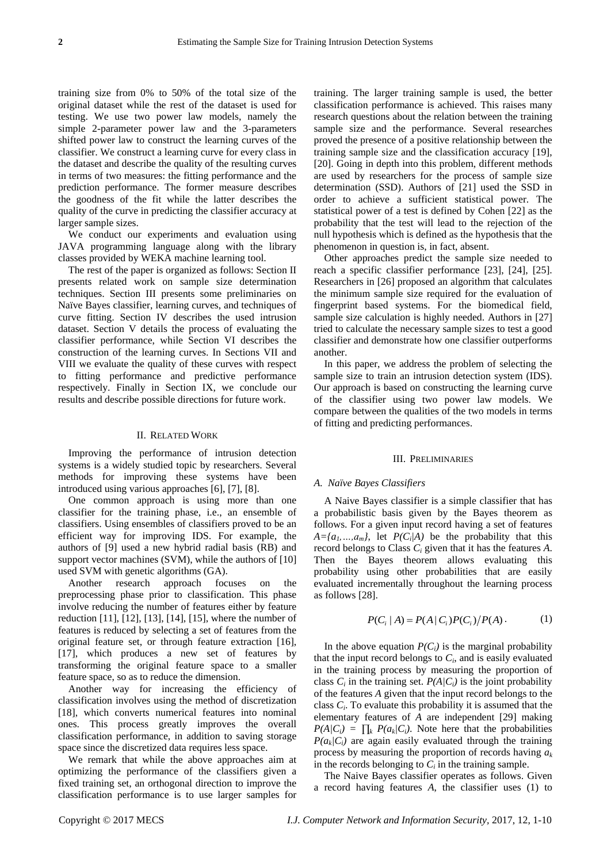training size from 0% to 50% of the total size of the original dataset while the rest of the dataset is used for testing. We use two power law models, namely the simple 2-parameter power law and the 3-parameters shifted power law to construct the learning curves of the classifier. We construct a learning curve for every class in the dataset and describe the quality of the resulting curves in terms of two measures: the fitting performance and the prediction performance. The former measure describes the goodness of the fit while the latter describes the quality of the curve in predicting the classifier accuracy at larger sample sizes.

We conduct our experiments and evaluation using JAVA programming language along with the library classes provided by WEKA machine learning tool.

The rest of the paper is organized as follows: Section II presents related work on sample size determination techniques. Section III presents some preliminaries on Na ïve Bayes classifier, learning curves, and techniques of curve fitting. Section IV describes the used intrusion dataset. Section V details the process of evaluating the classifier performance, while Section VI describes the construction of the learning curves. In Sections VII and VIII we evaluate the quality of these curves with respect to fitting performance and predictive performance respectively. Finally in Section IX, we conclude our results and describe possible directions for future work.

#### II. RELATED WORK

Improving the performance of intrusion detection systems is a widely studied topic by researchers. Several methods for improving these systems have been introduced using various approaches [6], [7], [8].

One common approach is using more than one classifier for the training phase, i.e., an ensemble of classifiers. Using ensembles of classifiers proved to be an efficient way for improving IDS. For example, the authors of [9] used a new hybrid radial basis (RB) and support vector machines (SVM), while the authors of [10] used SVM with genetic algorithms (GA).

Another research approach focuses on the preprocessing phase prior to classification. This phase involve reducing the number of features either by feature reduction [11], [12], [13], [14], [15], where the number of features is reduced by selecting a set of features from the original feature set, or through feature extraction [16], [17], which produces a new set of features by transforming the original feature space to a smaller feature space, so as to reduce the dimension.

Another way for increasing the efficiency of classification involves using the method of discretization [18], which converts numerical features into nominal ones. This process greatly improves the overall classification performance, in addition to saving storage space since the discretized data requires less space.

We remark that while the above approaches aim at optimizing the performance of the classifiers given a fixed training set, an orthogonal direction to improve the classification performance is to use larger samples for training. The larger training sample is used, the better classification performance is achieved. This raises many research questions about the relation between the training sample size and the performance. Several researches proved the presence of a positive relationship between the training sample size and the classification accuracy [19], [20]. Going in depth into this problem, different methods are used by researchers for the process of sample size determination (SSD). Authors of [21] used the SSD in order to achieve a sufficient statistical power. The statistical power of a test is defined by Cohen [22] as the probability that the test will lead to the rejection of the null hypothesis which is defined as the hypothesis that the phenomenon in question is, in fact, absent.

Other approaches predict the sample size needed to reach a specific classifier performance [23], [24], [25]. Researchers in [26] proposed an algorithm that calculates the minimum sample size required for the evaluation of fingerprint based systems. For the biomedical field, sample size calculation is highly needed. Authors in [27] tried to calculate the necessary sample sizes to test a good classifier and demonstrate how one classifier outperforms another.

In this paper, we address the problem of selecting the sample size to train an intrusion detection system (IDS). Our approach is based on constructing the learning curve of the classifier using two power law models. We compare between the qualities of the two models in terms of fitting and predicting performances.

#### III. PRELIMINARIES

# *A. Naïve Bayes Classifiers*

A Naive Bayes classifier is a simple classifier that has a probabilistic basis given by the Bayes theorem as follows. For a given input record having a set of features  $A = \{a_1, \ldots, a_m\}$ , let  $P(C_i|A)$  be the probability that this record belongs to Class *C<sup>i</sup>* given that it has the features *A*. Then the Bayes theorem allows evaluating this probability using other probabilities that are easily evaluated incrementally throughout the learning process as follows [28].

$$
P(C_i | A) = P(A | C_i) P(C_i) / P(A).
$$
 (1)

In the above equation  $P(C_i)$  is the marginal probability that the input record belongs to  $C_i$ , and is easily evaluated in the training process by measuring the proportion of class  $C_i$  in the training set.  $P(A|C_i)$  is the joint probability of the features *A* given that the input record belongs to the class  $C_i$ . To evaluate this probability it is assumed that the elementary features of *A* are independent [29] making  $P(A|C_i) = \prod_k P(a_k|C_i)$ . Note here that the probabilities  $P(a_k|C_i)$  are again easily evaluated through the training process by measuring the proportion of records having *a<sup>k</sup>* in the records belonging to  $C_i$  in the training sample.

The Naive Bayes classifier operates as follows. Given a record having features *A*, the classifier uses (1) to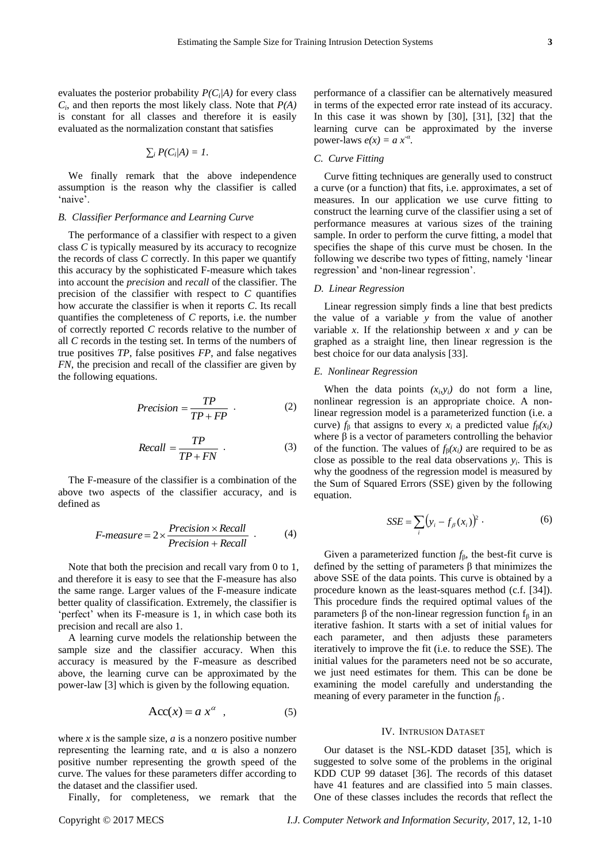evaluates the posterior probability *P(C<sup>i</sup> |A)* for every class *Ci* , and then reports the most likely class. Note that *P(A)* is constant for all classes and therefore it is easily evaluated as the normalization constant that satisfies

$$
\sum_i P(C_i/A) = 1.
$$

We finally remark that the above independence assumption is the reason why the classifier is called 'naive'.

#### *B. Classifier Performance and Learning Curve*

The performance of a classifier with respect to a given class *C* is typically measured by its accuracy to recognize the records of class *C* correctly. In this paper we quantify this accuracy by the sophisticated F-measure which takes into account the *precision* and *recall* of the classifier. The precision of the classifier with respect to *C* quantifies how accurate the classifier is when it reports *C*. Its recall quantifies the completeness of *C* reports, i.e. the number of correctly reported *C* records relative to the number of all *C* records in the testing set. In terms of the numbers of true positives *TP*, false positives *FP*, and false negatives *FN*, the precision and recall of the classifier are given by the following equations.

$$
Precision = \frac{TP}{TP + FP}
$$
 (2)

$$
Recall = \frac{TP}{TP + FN}
$$
 (3)

The F-measure of the classifier is a combination of the above two aspects of the classifier accuracy, and is defined as

$$
F-measure = 2 \times \frac{Precision \times Recall}{Precision + Recall} \tag{4}
$$

Note that both the precision and recall vary from 0 to 1, and therefore it is easy to see that the F-measure has also the same range. Larger values of the F-measure indicate better quality of classification. Extremely, the classifier is 'perfect' when its F-measure is 1, in which case both its precision and recall are also 1.

A learning curve models the relationship between the sample size and the classifier accuracy. When this accuracy is measured by the F-measure as described above, the learning curve can be approximated by the power-law [3] which is given by the following equation.

$$
Acc(x) = a x^{\alpha} \t{,} \t(5)
$$

where  $x$  is the sample size,  $a$  is a nonzero positive number representing the learning rate, and α is also a nonzero positive number representing the growth speed of the curve. The values for these parameters differ according to the dataset and the classifier used.

Finally, for completeness, we remark that the

performance of a classifier can be alternatively measured in terms of the expected error rate instead of its accuracy. In this case it was shown by [30], [31], [32] that the learning curve can be approximated by the inverse power-laws  $e(x) = a x^{-\alpha}$ .

## *C. Curve Fitting*

Curve fitting techniques are generally used to construct a curve (or a function) that fits, i.e. approximates, a set of measures. In our application we use curve fitting to construct the learning curve of the classifier using a set of performance measures at various sizes of the training sample. In order to perform the curve fitting, a model that specifies the shape of this curve must be chosen. In the following we describe two types of fitting, namely 'linear regression' and 'non-linear regression'.

## *D. Linear Regression*

Linear regression simply finds a line that best predicts the value of a variable *y* from the value of another variable *x*. If the relationship between *x* and *y* can be graphed as a straight line, then linear regression is the best choice for our data analysis [33].

## *E. Nonlinear Regression*

When the data points  $(x_i, y_i)$  do not form a line, nonlinear regression is an appropriate choice. A nonlinear regression model is a parameterized function (i.e. a curve)  $f_B$  that assigns to every  $x_i$  a predicted value  $f_B(x_i)$ where  $\beta$  is a vector of parameters controlling the behavior of the function. The values of  $f_B(x_i)$  are required to be as close as possible to the real data observations  $y_i$ . This is why the goodness of the regression model is measured by the Sum of Squared Errors (SSE) given by the following equation.

$$
SSE = \sum_{i} (y_i - f_{\beta}(x_i))^2
$$
 (6)

Given a parameterized function  $f_\beta$ , the best-fit curve is defined by the setting of parameters β that minimizes the above SSE of the data points. This curve is obtained by a procedure known as the least-squares method (c.f. [34]). This procedure finds the required optimal values of the parameters β of the non-linear regression function  $f_β$  in an iterative fashion. It starts with a set of initial values for each parameter, and then adjusts these parameters iteratively to improve the fit (i.e. to reduce the SSE). The initial values for the parameters need not be so accurate, we just need estimates for them. This can be done be examining the model carefully and understanding the meaning of every parameter in the function *f*β .

#### IV. INTRUSION DATASET

Our dataset is the NSL-KDD dataset [35], which is suggested to solve some of the problems in the original KDD CUP 99 dataset [36]. The records of this dataset have 41 features and are classified into 5 main classes. One of these classes includes the records that reflect the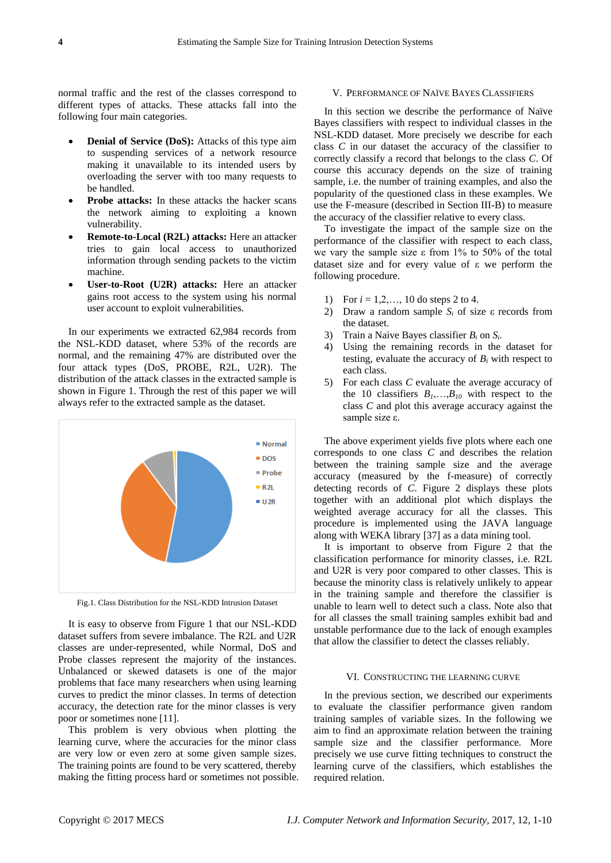normal traffic and the rest of the classes correspond to different types of attacks. These attacks fall into the following four main categories.

- **Denial of Service (DoS):** Attacks of this type aim to suspending services of a network resource making it unavailable to its intended users by overloading the server with too many requests to be handled.
- **Probe attacks:** In these attacks the hacker scans the network aiming to exploiting a known vulnerability.
- **Remote-to-Local (R2L) attacks:** Here an attacker tries to gain local access to unauthorized information through sending packets to the victim machine.
- **User-to-Root (U2R) attacks:** Here an attacker gains root access to the system using his normal user account to exploit vulnerabilities.

In our experiments we extracted 62,984 records from the NSL-KDD dataset, where 53% of the records are normal, and the remaining 47% are distributed over the four attack types (DoS, PROBE, R2L, U2R). The distribution of the attack classes in the extracted sample is shown in Figure 1. Through the rest of this paper we will always refer to the extracted sample as the dataset.



Fig.1. Class Distribution for the NSL-KDD Intrusion Dataset

It is easy to observe from Figure 1 that our NSL-KDD dataset suffers from severe imbalance. The R2L and U2R classes are under-represented, while Normal, DoS and Probe classes represent the majority of the instances. Unbalanced or skewed datasets is one of the major problems that face many researchers when using learning curves to predict the minor classes. In terms of detection accuracy, the detection rate for the minor classes is very poor or sometimes none [11].

This problem is very obvious when plotting the learning curve, where the accuracies for the minor class are very low or even zero at some given sample sizes. The training points are found to be very scattered, thereby making the fitting process hard or sometimes not possible.

#### V. PERFORMANCE OF NA ÏVE BAYES CLASSIFIERS

In this section we describe the performance of Na  $\mathbf{\tilde{v}}$ e Bayes classifiers with respect to individual classes in the NSL-KDD dataset. More precisely we describe for each class *C* in our dataset the accuracy of the classifier to correctly classify a record that belongs to the class *C*. Of course this accuracy depends on the size of training sample, i.e. the number of training examples, and also the popularity of the questioned class in these examples. We use the F-measure (described in Section III-B) to measure the accuracy of the classifier relative to every class.

To investigate the impact of the sample size on the performance of the classifier with respect to each class, we vary the sample size ε from  $1\%$  to 50% of the total dataset size and for every value of ε we perform the following procedure.

- 1) For *i* = 1,2,…, 10 do steps 2 to 4.
- 2) Draw a random sample *S<sup>i</sup>* of size ε records from the dataset.
- 3) Train a Naive Bayes classifier  $B_i$  on  $S_i$ .
- 4) Using the remaining records in the dataset for testing, evaluate the accuracy of  $B_i$  with respect to each class.
- 5) For each class *C* evaluate the average accuracy of the 10 classifiers  $B_1, \ldots, B_{10}$  with respect to the class *C* and plot this average accuracy against the sample size ε.

The above experiment yields five plots where each one corresponds to one class *C* and describes the relation between the training sample size and the average accuracy (measured by the f-measure) of correctly detecting records of *C*. Figure 2 displays these plots together with an additional plot which displays the weighted average accuracy for all the classes. This procedure is implemented using the JAVA language along with WEKA library [37] as a data mining tool.

It is important to observe from Figure 2 that the classification performance for minority classes, i.e. R2L and U2R is very poor compared to other classes. This is because the minority class is relatively unlikely to appear in the training sample and therefore the classifier is unable to learn well to detect such a class. Note also that for all classes the small training samples exhibit bad and unstable performance due to the lack of enough examples that allow the classifier to detect the classes reliably.

#### VI. CONSTRUCTING THE LEARNING CURVE

In the previous section, we described our experiments to evaluate the classifier performance given random training samples of variable sizes. In the following we aim to find an approximate relation between the training sample size and the classifier performance. More precisely we use curve fitting techniques to construct the learning curve of the classifiers, which establishes the required relation.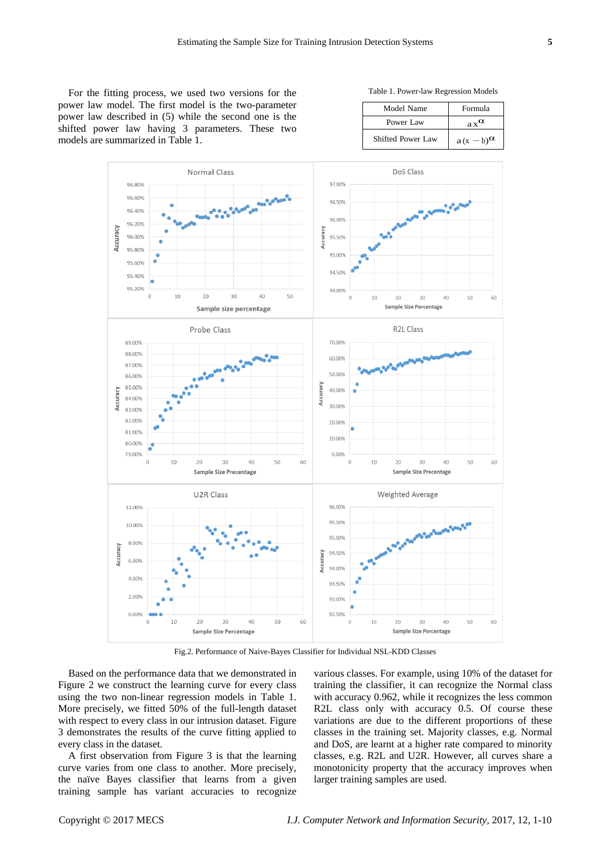For the fitting process, we used two versions for the power law model. The first model is the two-parameter power law described in (5) while the second one is the shifted power law having 3 parameters. These two models are summarized in Table 1.

Table 1. Power-law Regression Models

| Model Name        | Formula           |
|-------------------|-------------------|
| Power Law         | $a_x^{\alpha}$    |
| Shifted Power Law | $a(x-b)^{\alpha}$ |



Fig.2. Performance of Naive-Bayes Classifier for Individual NSL-KDD Classes

Based on the performance data that we demonstrated in Figure 2 we construct the learning curve for every class using the two non-linear regression models in Table 1. More precisely, we fitted 50% of the full-length dataset with respect to every class in our intrusion dataset. Figure 3 demonstrates the results of the curve fitting applied to every class in the dataset.

A first observation from Figure 3 is that the learning curve varies from one class to another. More precisely, the naïve Bayes classifier that learns from a given training sample has variant accuracies to recognize various classes. For example, using 10% of the dataset for training the classifier, it can recognize the Normal class with accuracy 0.962, while it recognizes the less common R2L class only with accuracy 0.5. Of course these variations are due to the different proportions of these classes in the training set. Majority classes, e.g. Normal and DoS, are learnt at a higher rate compared to minority classes, e.g. R2L and U2R. However, all curves share a monotonicity property that the accuracy improves when larger training samples are used.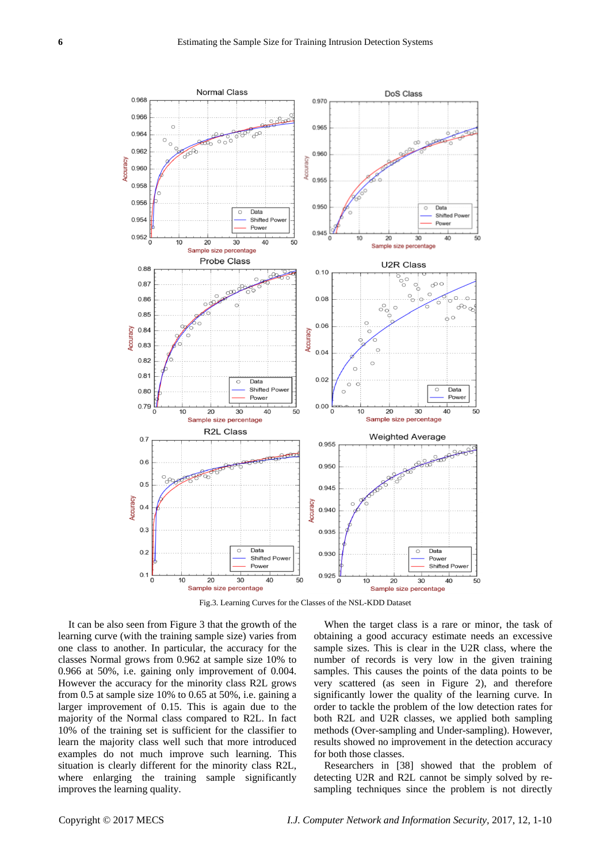

Fig.3. Learning Curves for the Classes of the NSL-KDD Dataset

It can be also seen from Figure 3 that the growth of the learning curve (with the training sample size) varies from one class to another. In particular, the accuracy for the classes Normal grows from 0.962 at sample size 10% to 0.966 at 50%, i.e. gaining only improvement of 0.004. However the accuracy for the minority class R2L grows from 0.5 at sample size 10% to 0.65 at 50%, i.e. gaining a larger improvement of 0.15. This is again due to the majority of the Normal class compared to R2L. In fact 10% of the training set is sufficient for the classifier to learn the majority class well such that more introduced examples do not much improve such learning. This situation is clearly different for the minority class R2L, where enlarging the training sample significantly improves the learning quality.

When the target class is a rare or minor, the task of obtaining a good accuracy estimate needs an excessive sample sizes. This is clear in the U2R class, where the number of records is very low in the given training samples. This causes the points of the data points to be very scattered (as seen in Figure 2), and therefore significantly lower the quality of the learning curve. In order to tackle the problem of the low detection rates for both R2L and U2R classes, we applied both sampling methods (Over-sampling and Under-sampling). However, results showed no improvement in the detection accuracy for both those classes.

Researchers in [38] showed that the problem of detecting U2R and R2L cannot be simply solved by resampling techniques since the problem is not directly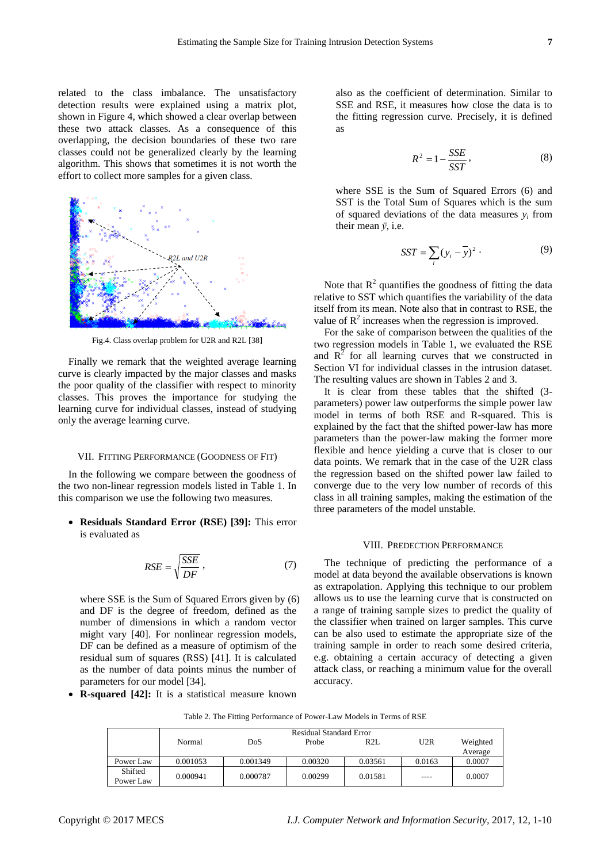related to the class imbalance. The unsatisfactory detection results were explained using a matrix plot, shown in Figure 4, which showed a clear overlap between these two attack classes. As a consequence of this overlapping, the decision boundaries of these two rare classes could not be generalized clearly by the learning algorithm. This shows that sometimes it is not worth the effort to collect more samples for a given class.



Fig.4. Class overlap problem for U2R and R2L [38]

Finally we remark that the weighted average learning curve is clearly impacted by the major classes and masks the poor quality of the classifier with respect to minority classes. This proves the importance for studying the learning curve for individual classes, instead of studying only the average learning curve.

#### VII. FITTING PERFORMANCE (GOODNESS OF FIT)

In the following we compare between the goodness of the two non-linear regression models listed in Table 1. In this comparison we use the following two measures.

 **Residuals Standard Error (RSE) [39]:** This error is evaluated as

$$
RSE = \sqrt{\frac{SSE}{DF}} \,,\tag{7}
$$

where SSE is the Sum of Squared Errors given by (6) and DF is the degree of freedom, defined as the number of dimensions in which a random vector might vary [40]. For nonlinear regression models, DF can be defined as a measure of optimism of the residual sum of squares (RSS) [41]. It is calculated as the number of data points minus the number of parameters for our model [34].

also as the coefficient of determination. Similar to SSE and RSE, it measures how close the data is to the fitting regression curve. Precisely, it is defined as

$$
R^2 = 1 - \frac{SSE}{SST},\tag{8}
$$

where SSE is the Sum of Squared Errors (6) and SST is the Total Sum of Squares which is the sum of squared deviations of the data measures  $y_i$  from their mean *ȳ*, i.e.

$$
SST = \sum_{i} (y_i - \overline{y})^2
$$
 (9)

Note that  $R^2$  quantifies the goodness of fitting the data relative to SST which quantifies the variability of the data itself from its mean. Note also that in contrast to RSE, the value of  $R^2$  increases when the regression is improved.

For the sake of comparison between the qualities of the two regression models in Table 1, we evaluated the RSE and  $R^2$  for all learning curves that we constructed in Section VI for individual classes in the intrusion dataset. The resulting values are shown in Tables 2 and 3.

It is clear from these tables that the shifted (3 parameters) power law outperforms the simple power law model in terms of both RSE and R-squared. This is explained by the fact that the shifted power-law has more parameters than the power-law making the former more flexible and hence yielding a curve that is closer to our data points. We remark that in the case of the U2R class the regression based on the shifted power law failed to converge due to the very low number of records of this class in all training samples, making the estimation of the three parameters of the model unstable.

# VIII. PREDECTION PERFORMANCE

The technique of predicting the performance of a model at data beyond the available observations is known as extrapolation. Applying this technique to our problem allows us to use the learning curve that is constructed on a range of training sample sizes to predict the quality of the classifier when trained on larger samples. This curve can be also used to estimate the appropriate size of the training sample in order to reach some desired criteria, e.g. obtaining a certain accuracy of detecting a given attack class, or reaching a minimum value for the overall accuracy.

**R-squared [42]:** It is a statistical measure known

Table 2. The Fitting Performance of Power-Law Models in Terms of RSE

|                      | Residual Standard Error |          |         |         |        |          |  |
|----------------------|-------------------------|----------|---------|---------|--------|----------|--|
|                      | Normal                  | DoS      | Probe   | R2L     | U2R    | Weighted |  |
|                      |                         |          |         |         |        | Average  |  |
| Power Law            | 0.001053                | 0.001349 | 0.00320 | 0.03561 | 0.0163 | 0.0007   |  |
| Shifted<br>Power Law | 0.000941                | 0.000787 | 0.00299 | 0.01581 | $---$  | 0.0007   |  |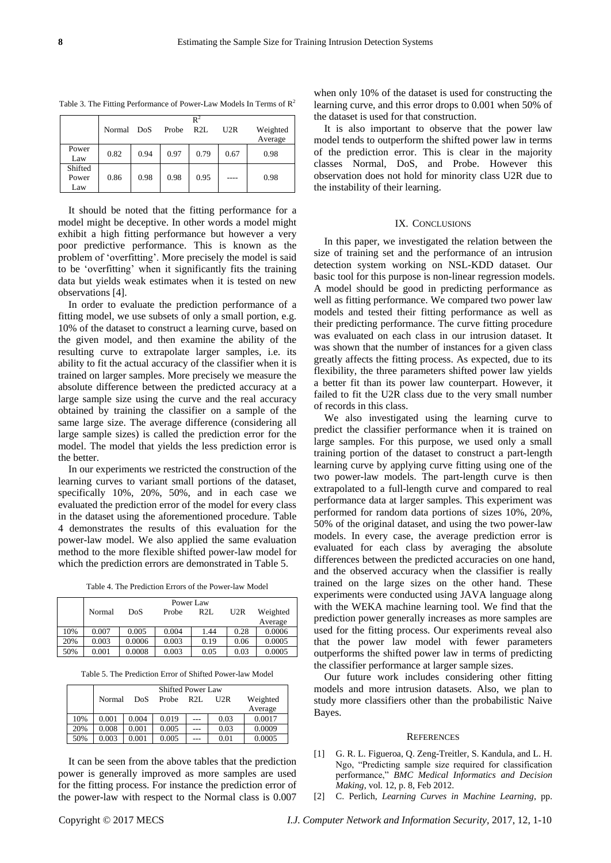| Table 3. The Fitting Performance of Power-Law Models In Terms of $R^2$ |
|------------------------------------------------------------------------|
|                                                                        |

|                         | $\mathbb{R}^2$ |      |       |      |      |                     |
|-------------------------|----------------|------|-------|------|------|---------------------|
|                         | Normal         | DoS  | Probe | R2L  | U2R  | Weighted<br>Average |
| Power<br>Law            | 0.82           | 0.94 | 0.97  | 0.79 | 0.67 | 0.98                |
| Shifted<br>Power<br>Law | 0.86           | 0.98 | 0.98  | 0.95 |      | 0.98                |

It should be noted that the fitting performance for a model might be deceptive. In other words a model might exhibit a high fitting performance but however a very poor predictive performance. This is known as the problem of 'overfitting'. More precisely the model is said to be 'overfitting' when it significantly fits the training data but yields weak estimates when it is tested on new observations [4].

In order to evaluate the prediction performance of a fitting model, we use subsets of only a small portion, e.g. 10% of the dataset to construct a learning curve, based on the given model, and then examine the ability of the resulting curve to extrapolate larger samples, i.e. its ability to fit the actual accuracy of the classifier when it is trained on larger samples. More precisely we measure the absolute difference between the predicted accuracy at a large sample size using the curve and the real accuracy obtained by training the classifier on a sample of the same large size. The average difference (considering all large sample sizes) is called the prediction error for the model. The model that yields the less prediction error is the better.

In our experiments we restricted the construction of the learning curves to variant small portions of the dataset, specifically 10%, 20%, 50%, and in each case we evaluated the prediction error of the model for every class in the dataset using the aforementioned procedure. Table 4 demonstrates the results of this evaluation for the power-law model. We also applied the same evaluation method to the more flexible shifted power-law model for which the prediction errors are demonstrated in Table 5.

Table 4. The Prediction Errors of the Power-law Model

|     | Power Law |        |       |      |      |          |  |
|-----|-----------|--------|-------|------|------|----------|--|
|     | Normal    | DoS    | Probe | R2L  | U2R  | Weighted |  |
|     |           |        |       |      |      | Average  |  |
| 10% | 0.007     | 0.005  | 0.004 | 1.44 | 0.28 | 0.0006   |  |
| 20% | 0.003     | 0.0006 | 0.003 | 0.19 | 0.06 | 0.0005   |  |
| 50% | 0.001     | 0.0008 | 0.003 | 0.05 | 0.03 | 0.0005   |  |

Table 5. The Prediction Error of Shifted Power-law Model

|     | <b>Shifted Power Law</b> |       |       |     |      |          |  |
|-----|--------------------------|-------|-------|-----|------|----------|--|
|     | Normal                   | DoS   | Probe | R2L | U2R  | Weighted |  |
|     |                          |       |       |     |      | Average  |  |
| 10% | 0.001                    | 0.004 | 0.019 | --- | 0.03 | 0.0017   |  |
| 20% | 0.008                    | 0.001 | 0.005 | --- | 0.03 | 0.0009   |  |
| 50% | 0.003                    | 0.001 | 0.005 |     | 0.01 | 0.0005   |  |

It can be seen from the above tables that the prediction power is generally improved as more samples are used for the fitting process. For instance the prediction error of the power-law with respect to the Normal class is 0.007

when only 10% of the dataset is used for constructing the learning curve, and this error drops to 0.001 when 50% of the dataset is used for that construction.

It is also important to observe that the power law model tends to outperform the shifted power law in terms of the prediction error. This is clear in the majority classes Normal, DoS, and Probe. However this observation does not hold for minority class U2R due to the instability of their learning.

#### IX. CONCLUSIONS

In this paper, we investigated the relation between the size of training set and the performance of an intrusion detection system working on NSL-KDD dataset. Our basic tool for this purpose is non-linear regression models. A model should be good in predicting performance as well as fitting performance. We compared two power law models and tested their fitting performance as well as their predicting performance. The curve fitting procedure was evaluated on each class in our intrusion dataset. It was shown that the number of instances for a given class greatly affects the fitting process. As expected, due to its flexibility, the three parameters shifted power law yields a better fit than its power law counterpart. However, it failed to fit the U2R class due to the very small number of records in this class.

We also investigated using the learning curve to predict the classifier performance when it is trained on large samples. For this purpose, we used only a small training portion of the dataset to construct a part-length learning curve by applying curve fitting using one of the two power-law models. The part-length curve is then extrapolated to a full-length curve and compared to real performance data at larger samples. This experiment was performed for random data portions of sizes 10%, 20%, 50% of the original dataset, and using the two power-law models. In every case, the average prediction error is evaluated for each class by averaging the absolute differences between the predicted accuracies on one hand, and the observed accuracy when the classifier is really trained on the large sizes on the other hand. These experiments were conducted using JAVA language along with the WEKA machine learning tool. We find that the prediction power generally increases as more samples are used for the fitting process. Our experiments reveal also that the power law model with fewer parameters outperforms the shifted power law in terms of predicting the classifier performance at larger sample sizes.

Our future work includes considering other fitting models and more intrusion datasets. Also, we plan to study more classifiers other than the probabilistic Naive Bayes.

#### **REFERENCES**

- [1] G. R. L. Figueroa, Q. Zeng-Treitler, S. Kandula, and L. H. Ngo, "Predicting sample size required for classification performance," *BMC Medical Informatics and Decision Making*, vol. 12, p. 8, Feb 2012.
- [2] C. Perlich, *Learning Curves in Machine Learning*, pp.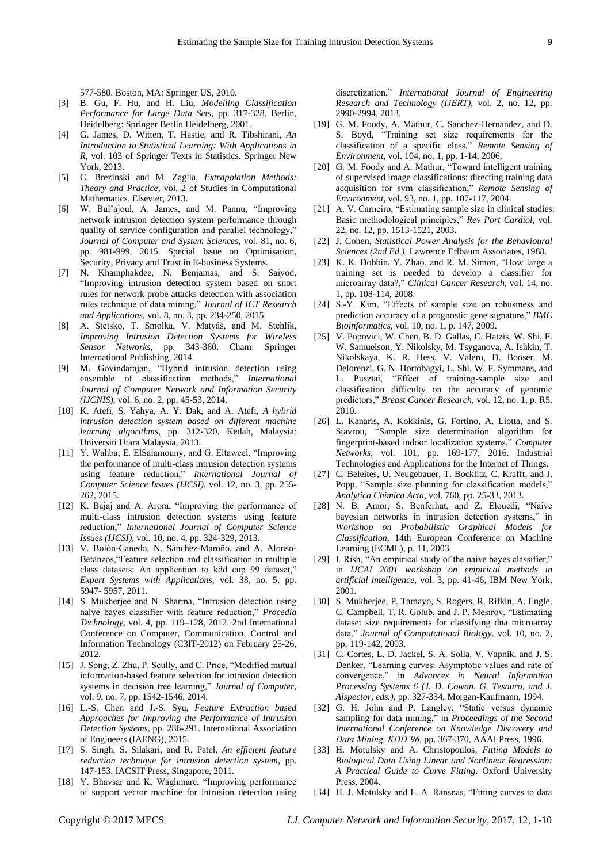577-580. Boston, MA: Springer US, 2010.

- [3] B. Gu, F. Hu, and H. Liu, *Modelling Classification Performance for Large Data Sets*, pp. 317-328. Berlin, Heidelberg: Springer Berlin Heidelberg, 2001.
- [4] G. James, D. Witten, T. Hastie, and R. Tibshirani, *An Introduction to Statistical Learning: With Applications in R*, vol. 103 of Springer Texts in Statistics. Springer New York, 2013.
- [5] C. Brezinski and M. Zaglia, *Extrapolation Methods: Theory and Practice*, vol. 2 of Studies in Computational Mathematics. Elsevier, 2013.
- [6] W. Bul'ajoul, A. James, and M. Pannu, "Improving network intrusion detection system performance through quality of service configuration and parallel technology," *Journal of Computer and System Sciences*, vol. 81, no. 6, pp. 981-999, 2015. Special Issue on Optimisation, Security, Privacy and Trust in E-business Systems.
- [7] N. Khamphakdee, N. Benjamas, and S. Saiyod, "Improving intrusion detection system based on snort rules for network probe attacks detection with association rules technique of data mining," *Journal of ICT Research and Applications*, vol. 8, no. 3, pp. 234-250, 2015.
- [8] A. Stetsko, T. Smolka, V. Matyáš, and M. Stehlík, *Improving Intrusion Detection Systems for Wireless Sensor Networks*, pp. 343-360. Cham: Springer International Publishing, 2014.
- [9] M. Govindarajan, "Hybrid intrusion detection using ensemble of classification methods," *International Journal of Computer Network and Information Security (IJCNIS)*, vol. 6, no. 2, pp. 45-53, 2014.
- [10] K. Atefi, S. Yahya, A. Y. Dak, and A. Atefi, *A hybrid intrusion detection system based on different machine learning algorithms*, pp. 312-320. Kedah, Malaysia: Universiti Utara Malaysia, 2013.
- [11] Y. Wahba, E. ElSalamouny, and G. Eltaweel, "Improving the performance of multi-class intrusion detection systems using feature reduction," *International Journal of Computer Science Issues (IJCSI)*, vol. 12, no. 3, pp. 255- 262, 2015.
- [12] K. Bajaj and A. Arora, "Improving the performance of multi-class intrusion detection systems using feature reduction," *International Journal of Computer Science Issues (IJCSI)*, vol. 10, no. 4, pp. 324-329, 2013.
- [13] V. Bolón-Canedo, N. Sánchez-Maroño, and A. Alonso-Betanzos,"Feature selection and classification in multiple class datasets: An application to kdd cup 99 dataset," *Expert Systems with Applications*, vol. 38, no. 5, pp. 5947- 5957, 2011.
- [14] S. Mukherjee and N. Sharma, "Intrusion detection using naive bayes classifier with feature reduction," *Procedia Technology*, vol. 4, pp. 119–128, 2012. 2nd International Conference on Computer, Communication, Control and Information Technology (C3IT-2012) on February 25-26, 2012.
- [15] J. Song, Z. Zhu, P. Scully, and C. Price, "Modified mutual information-based feature selection for intrusion detection systems in decision tree learning," *Journal of Computer*, vol. 9, no. 7, pp. 1542-1546, 2014.
- [16] L.-S. Chen and J.-S. Syu, *Feature Extraction based Approaches for Improving the Performance of Intrusion Detection Systems*, pp. 286-291. International Association of Engineers (IAENG), 2015.
- [17] S. Singh, S. Silakari, and R. Patel, *An efficient feature reduction technique for intrusion detection system*, pp. 147-153. IACSIT Press, Singapore, 2011.
- [18] Y. Bhavsar and K. Waghmare, "Improving performance of support vector machine for intrusion detection using

discretization," *International Journal of Engineering Research and Technology (IJERT)*, vol. 2, no. 12, pp. 2990-2994, 2013.

- [19] G. M. Foody, A. Mathur, C. Sanchez-Hernandez, and D. S. Boyd, "Training set size requirements for the classification of a specific class," *Remote Sensing of Environment*, vol. 104, no. 1, pp. 1-14, 2006.
- [20] G. M. Foody and A. Mathur, "Toward intelligent training of supervised image classifications: directing training data acquisition for svm classification," *Remote Sensing of Environment*, vol. 93, no. 1, pp. 107-117, 2004.
- [21] A. V. Carneiro, "Estimating sample size in clinical studies: Basic methodological principles," *Rev Port Cardiol*, vol. 22, no. 12, pp. 1513-1521, 2003.
- [22] J. Cohen, *Statistical Power Analysis for the Behavioural Sciences (2nd Ed.)*. Lawrence Erlbaum Associates, 1988.
- [23] K. K. Dobbin, Y. Zhao, and R. M. Simon, "How large a training set is needed to develop a classifier for microarray data?," *Clinical Cancer Research*, vol. 14, no. 1, pp. 108-114, 2008.
- [24] S.-Y. Kim, "Effects of sample size on robustness and prediction accuracy of a prognostic gene signature," *BMC Bioinformatics*, vol. 10, no. 1, p. 147, 2009.
- [25] V. Popovici, W. Chen, B. D. Gallas, C. Hatzis, W. Shi, F. W. Samuelson, Y. Nikolsky, M. Tsyganova, A. Ishkin, T. Nikolskaya, K. R. Hess, V. Valero, D. Booser, M. Delorenzi, G. N. Hortobagyi, L. Shi, W. F. Symmans, and L. Pusztai, "Effect of training-sample size and classification difficulty on the accuracy of genomic predictors," *Breast Cancer Research*, vol. 12, no. 1, p. R5, 2010.
- [26] L. Kanaris, A. Kokkinis, G. Fortino, A. Liotta, and S. Stavrou, "Sample size determination algorithm for fingerprint-based indoor localization systems," *Computer Networks*, vol. 101, pp. 169-177, 2016. Industrial Technologies and Applications for the Internet of Things.
- [27] C. Beleites, U. Neugebauer, T. Bocklitz, C. Krafft, and J. Popp, "Sample size planning for classification models," *Analytica Chimica Acta*, vol. 760, pp. 25-33, 2013.
- [28] N. B. Amor, S. Benferhat, and Z. Elouedi, "Naive bayesian networks in intrusion detection systems," in *Workshop on Probabilistic Graphical Models for Classification*, 14th European Conference on Machine Learning (ECML), p. 11, 2003.
- [29] I. Rish, "An empirical study of the naive bayes classifier," in *IJCAI 2001 workshop on empirical methods in artificial intelligence*, vol. 3, pp. 41-46, IBM New York, 2001.
- [30] S. Mukherjee, P. Tamayo, S. Rogers, R. Rifkin, A. Engle, C. Campbell, T. R. Golub, and J. P. Mesirov, "Estimating dataset size requirements for classifying dna microarray data," *Journal of Computational Biology*, vol. 10, no. 2, pp. 119-142, 2003.
- [31] C. Cortes, L. D. Jackel, S. A. Solla, V. Vapnik, and J. S. Denker, "Learning curves: Asymptotic values and rate of convergence," in *Advances in Neural Information Processing Systems 6 (J. D. Cowan, G. Tesauro, and J. Alspector, eds.)*, pp. 327-334, Morgan-Kaufmann, 1994.
- [32] G. H. John and P. Langley, "Static versus dynamic sampling for data mining," in *Proceedings of the Second International Conference on Knowledge Discovery and Data Mining, KDD'96*, pp. 367-370, AAAI Press, 1996.
- [33] H. Motulsky and A. Christopoulos, *Fitting Models to Biological Data Using Linear and Nonlinear Regression: A Practical Guide to Curve Fitting*. Oxford University Press, 2004.
- [34] H. J. Motulsky and L. A. Ransnas, "Fitting curves to data